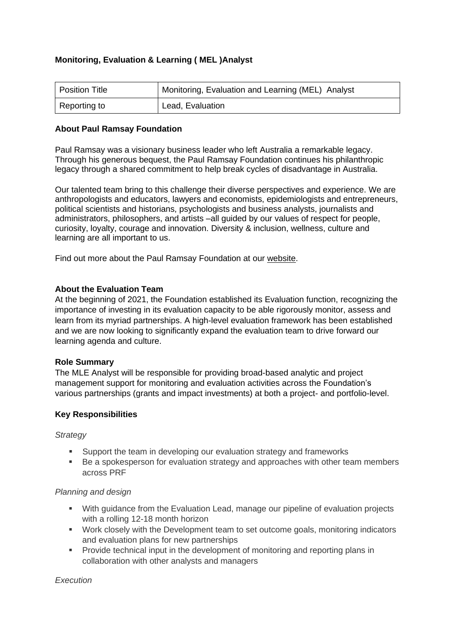# **Monitoring, Evaluation & Learning ( MEL )Analyst**

| Position Title | Monitoring, Evaluation and Learning (MEL) Analyst |
|----------------|---------------------------------------------------|
| Reporting to   | Lead, Evaluation                                  |

#### **About Paul Ramsay Foundation**

Paul Ramsay was a visionary business leader who left Australia a remarkable legacy. Through his generous bequest, the Paul Ramsay Foundation continues his philanthropic legacy through a shared commitment to help break cycles of disadvantage in Australia.

Our talented team bring to this challenge their diverse perspectives and experience. We are anthropologists and educators, lawyers and economists, epidemiologists and entrepreneurs, political scientists and historians, psychologists and business analysts, journalists and administrators, philosophers, and artists –all guided by our values of respect for people, curiosity, loyalty, courage and innovation. Diversity & inclusion, wellness, culture and learning are all important to us.

Find out more about the Paul Ramsay Foundation at [our website.](http://www.paulramsayfoundation.org.au/)

### **About the Evaluation Team**

At the beginning of 2021, the Foundation established its Evaluation function, recognizing the importance of investing in its evaluation capacity to be able rigorously monitor, assess and learn from its myriad partnerships. A high-level evaluation framework has been established and we are now looking to significantly expand the evaluation team to drive forward our learning agenda and culture.

#### **Role Summary**

The MLE Analyst will be responsible for providing broad-based analytic and project management support for monitoring and evaluation activities across the Foundation's various partnerships (grants and impact investments) at both a project- and portfolio-level.

### **Key Responsibilities**

*Strategy*

- Support the team in developing our evaluation strategy and frameworks
- Be a spokesperson for evaluation strategy and approaches with other team members across PRF

#### *Planning and design*

- With guidance from the Evaluation Lead, manage our pipeline of evaluation projects with a rolling 12-18 month horizon
- Work closely with the Development team to set outcome goals, monitoring indicators and evaluation plans for new partnerships
- Provide technical input in the development of monitoring and reporting plans in collaboration with other analysts and managers

*Execution*